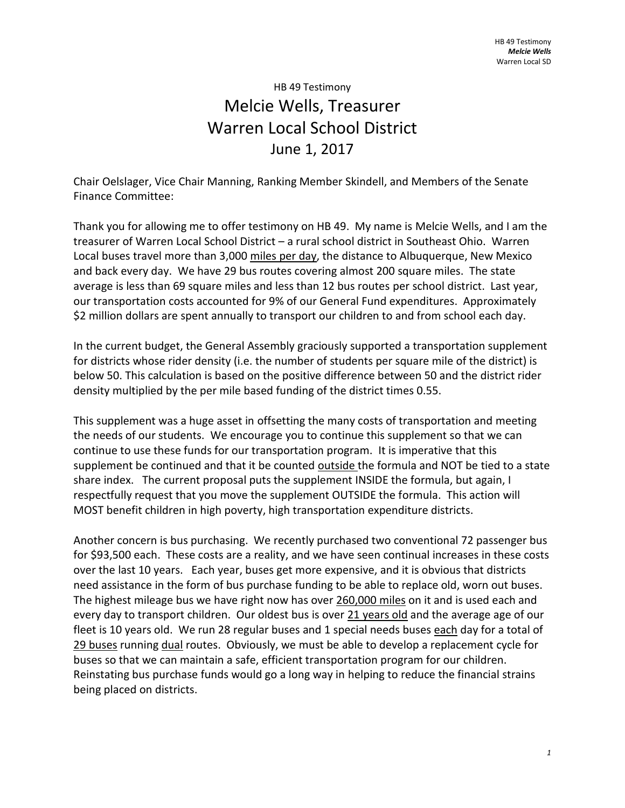## HB 49 Testimony Melcie Wells, Treasurer Warren Local School District June 1, 2017

Chair Oelslager, Vice Chair Manning, Ranking Member Skindell, and Members of the Senate Finance Committee:

Thank you for allowing me to offer testimony on HB 49. My name is Melcie Wells, and I am the treasurer of Warren Local School District – a rural school district in Southeast Ohio. Warren Local buses travel more than 3,000 miles per day, the distance to Albuquerque, New Mexico and back every day. We have 29 bus routes covering almost 200 square miles. The state average is less than 69 square miles and less than 12 bus routes per school district. Last year, our transportation costs accounted for 9% of our General Fund expenditures. Approximately \$2 million dollars are spent annually to transport our children to and from school each day.

In the current budget, the General Assembly graciously supported a transportation supplement for districts whose rider density (i.e. the number of students per square mile of the district) is below 50. This calculation is based on the positive difference between 50 and the district rider density multiplied by the per mile based funding of the district times 0.55.

This supplement was a huge asset in offsetting the many costs of transportation and meeting the needs of our students. We encourage you to continue this supplement so that we can continue to use these funds for our transportation program. It is imperative that this supplement be continued and that it be counted outside the formula and NOT be tied to a state share index. The current proposal puts the supplement INSIDE the formula, but again, I respectfully request that you move the supplement OUTSIDE the formula. This action will MOST benefit children in high poverty, high transportation expenditure districts.

Another concern is bus purchasing. We recently purchased two conventional 72 passenger bus for \$93,500 each. These costs are a reality, and we have seen continual increases in these costs over the last 10 years. Each year, buses get more expensive, and it is obvious that districts need assistance in the form of bus purchase funding to be able to replace old, worn out buses. The highest mileage bus we have right now has over 260,000 miles on it and is used each and every day to transport children. Our oldest bus is over 21 years old and the average age of our fleet is 10 years old. We run 28 regular buses and 1 special needs buses each day for a total of 29 buses running dual routes. Obviously, we must be able to develop a replacement cycle for buses so that we can maintain a safe, efficient transportation program for our children. Reinstating bus purchase funds would go a long way in helping to reduce the financial strains being placed on districts.